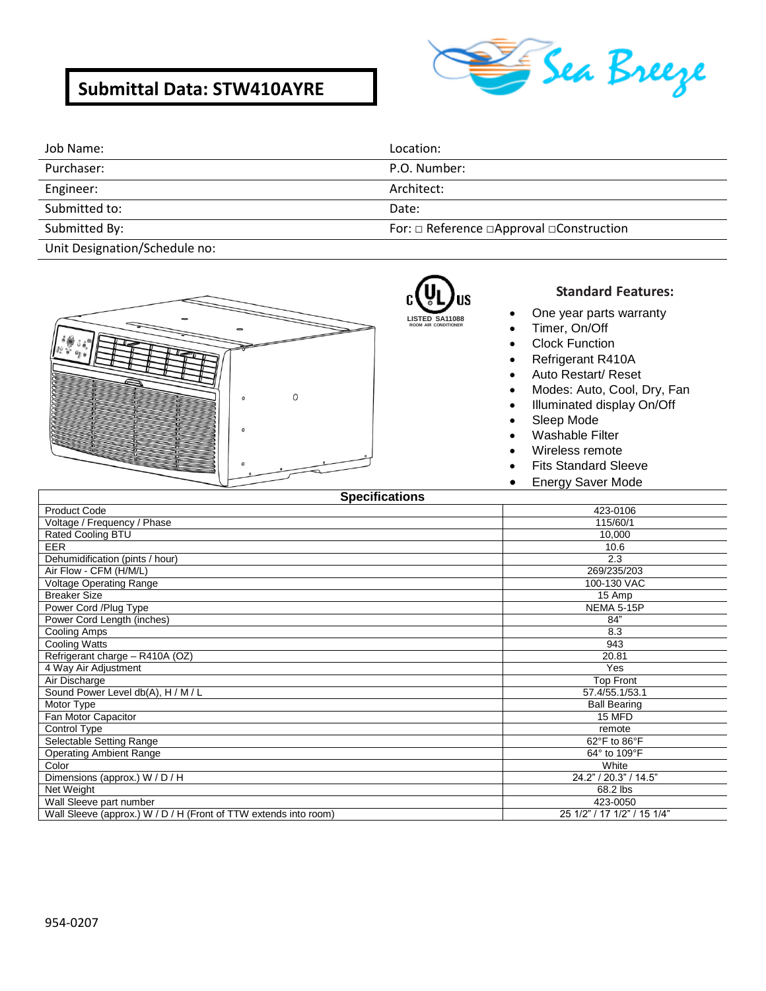# **Submittal Data: STW410AYRE**



| Job Name:                                                                                                       | Location:                                                 |
|-----------------------------------------------------------------------------------------------------------------|-----------------------------------------------------------|
| Purchaser:                                                                                                      | P.O. Number:                                              |
| Engineer:                                                                                                       | Architect:                                                |
| Submitted to:                                                                                                   | Date:                                                     |
| Submitted By:                                                                                                   | For: $\Box$ Reference $\Box$ Approval $\Box$ Construction |
| the contract of the contract of the contract of the contract of the contract of the contract of the contract of |                                                           |

R) **LISTED SA11088 ROOM AIR CONDITIONER**

Unit Designation/Schedule no:



### **Standard Features:**

- One year parts warranty
- Timer, On/Off
- Clock Function
- Refrigerant R410A
- Auto Restart/ Reset
- Modes: Auto, Cool, Dry, Fan
- Illuminated display On/Off
- Sleep Mode
- Washable Filter
- Wireless remote
- Fits Standard Sleeve
- **Energy Saver Mode**

| <b>Specifications</b>                                            |                             |
|------------------------------------------------------------------|-----------------------------|
| <b>Product Code</b>                                              | 423-0106                    |
| Voltage / Frequency / Phase                                      | 115/60/1                    |
| Rated Cooling BTU                                                | 10,000                      |
| <b>EER</b>                                                       | 10.6                        |
| Dehumidification (pints / hour)                                  | 2.3                         |
| Air Flow - CFM (H/M/L)                                           | 269/235/203                 |
| <b>Voltage Operating Range</b>                                   | 100-130 VAC                 |
| <b>Breaker Size</b>                                              | 15 Amp                      |
| Power Cord /Plug Type                                            | NEMA 5-15P                  |
| Power Cord Length (inches)                                       | 84"                         |
| Cooling Amps                                                     | 8.3                         |
| Cooling Watts                                                    | 943                         |
| Refrigerant charge - R410A (OZ)                                  | 20.81                       |
| 4 Way Air Adjustment                                             | Yes                         |
| Air Discharge                                                    | <b>Top Front</b>            |
| Sound Power Level db(A), H / M / L                               | 57.4/55.1/53.1              |
| Motor Type                                                       | <b>Ball Bearing</b>         |
| Fan Motor Capacitor                                              | 15 MFD                      |
| Control Type                                                     | remote                      |
| Selectable Setting Range                                         | 62°F to 86°F                |
| <b>Operating Ambient Range</b>                                   | 64° to 109°F                |
| Color                                                            | White                       |
| Dimensions (approx.) W / D / H                                   | 24.2" / 20.3" / 14.5"       |
| Net Weight                                                       | 68.2 lbs                    |
| Wall Sleeve part number                                          | 423-0050                    |
| Wall Sleeve (approx.) W / D / H (Front of TTW extends into room) | 25 1/2" / 17 1/2" / 15 1/4" |